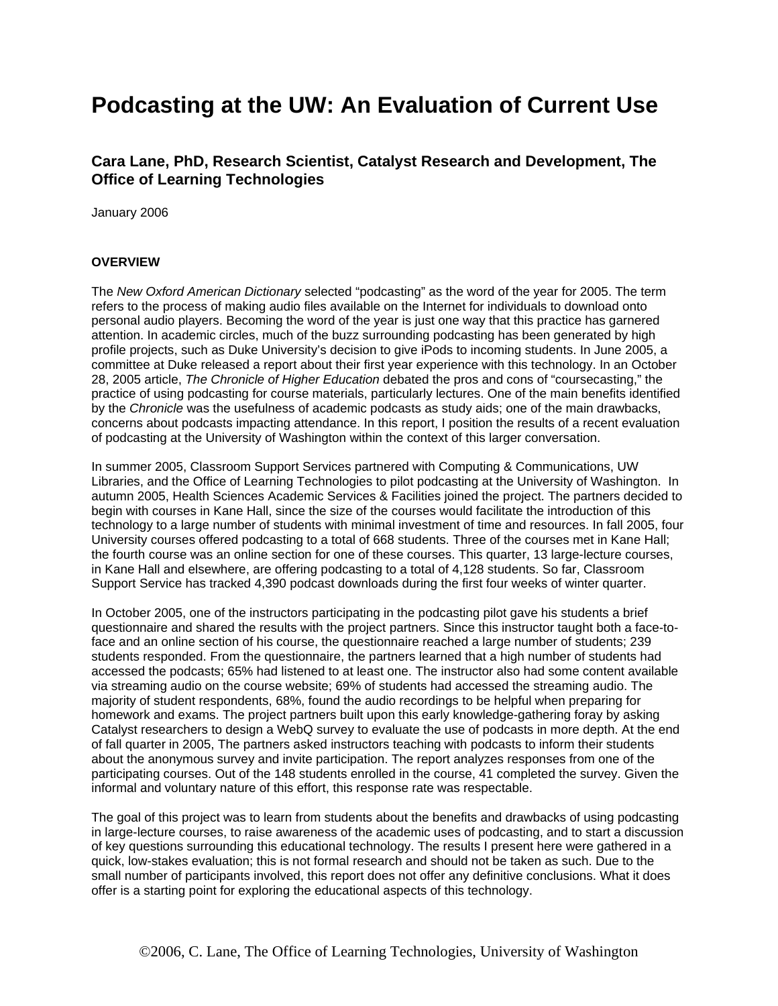# **Podcasting at the UW: An Evaluation of Current Use**

### **Cara Lane, PhD, Research Scientist, Catalyst Research and Development, The Office of Learning Technologies**

January 2006

#### **OVERVIEW**

The *New Oxford American Dictionary* selected "podcasting" as the word of the year for 2005. The term refers to the process of making audio files available on the Internet for individuals to download onto personal audio players. Becoming the word of the year is just one way that this practice has garnered attention. In academic circles, much of the buzz surrounding podcasting has been generated by high profile projects, such as Duke University's decision to give iPods to incoming students. In June 2005, a committee at Duke released a report about their first year experience with this technology. In an October 28, 2005 article, *The Chronicle of Higher Education* debated the pros and cons of "coursecasting," the practice of using podcasting for course materials, particularly lectures. One of the main benefits identified by the *Chronicle* was the usefulness of academic podcasts as study aids; one of the main drawbacks, concerns about podcasts impacting attendance. In this report, I position the results of a recent evaluation of podcasting at the University of Washington within the context of this larger conversation.

In summer 2005, Classroom Support Services partnered with Computing & Communications, UW Libraries, and the Office of Learning Technologies to pilot podcasting at the University of Washington. In autumn 2005, Health Sciences Academic Services & Facilities joined the project. The partners decided to begin with courses in Kane Hall, since the size of the courses would facilitate the introduction of this technology to a large number of students with minimal investment of time and resources. In fall 2005, four University courses offered podcasting to a total of 668 students. Three of the courses met in Kane Hall; the fourth course was an online section for one of these courses. This quarter, 13 large-lecture courses, in Kane Hall and elsewhere, are offering podcasting to a total of 4,128 students. So far, Classroom Support Service has tracked 4,390 podcast downloads during the first four weeks of winter quarter.

In October 2005, one of the instructors participating in the podcasting pilot gave his students a brief questionnaire and shared the results with the project partners. Since this instructor taught both a face-toface and an online section of his course, the questionnaire reached a large number of students; 239 students responded. From the questionnaire, the partners learned that a high number of students had accessed the podcasts; 65% had listened to at least one. The instructor also had some content available via streaming audio on the course website; 69% of students had accessed the streaming audio. The majority of student respondents, 68%, found the audio recordings to be helpful when preparing for homework and exams. The project partners built upon this early knowledge-gathering foray by asking Catalyst researchers to design a WebQ survey to evaluate the use of podcasts in more depth. At the end of fall quarter in 2005, The partners asked instructors teaching with podcasts to inform their students about the anonymous survey and invite participation. The report analyzes responses from one of the participating courses. Out of the 148 students enrolled in the course, 41 completed the survey. Given the informal and voluntary nature of this effort, this response rate was respectable.

The goal of this project was to learn from students about the benefits and drawbacks of using podcasting in large-lecture courses, to raise awareness of the academic uses of podcasting, and to start a discussion of key questions surrounding this educational technology. The results I present here were gathered in a quick, low-stakes evaluation; this is not formal research and should not be taken as such. Due to the small number of participants involved, this report does not offer any definitive conclusions. What it does offer is a starting point for exploring the educational aspects of this technology.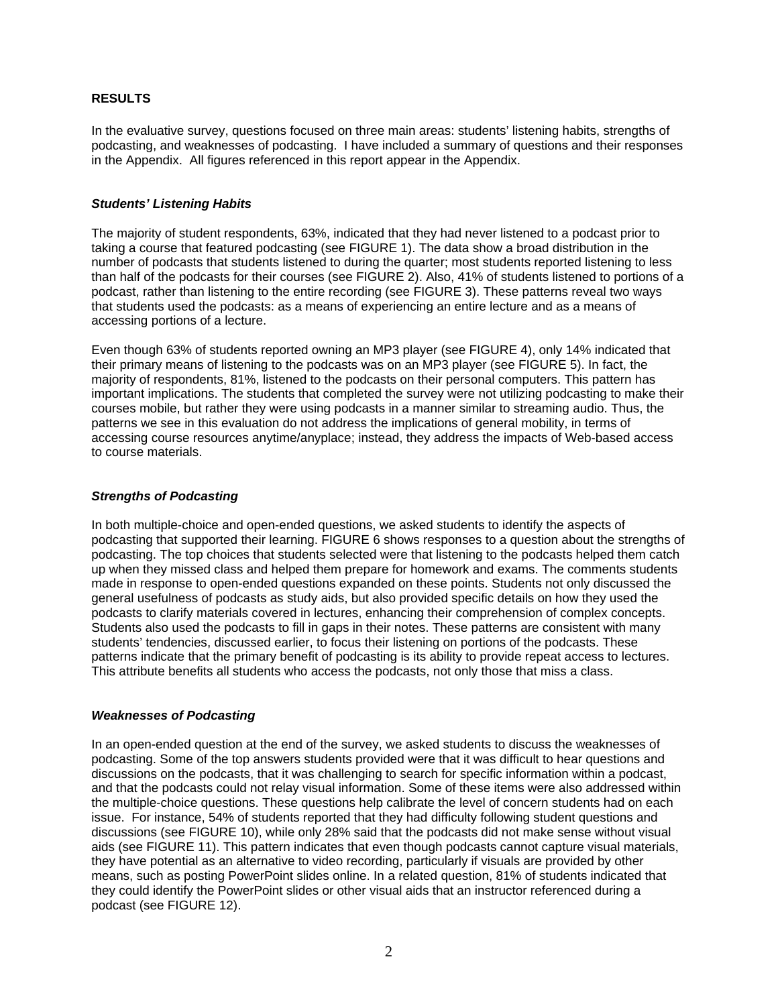### **RESULTS**

In the evaluative survey, questions focused on three main areas: students' listening habits, strengths of podcasting, and weaknesses of podcasting. I have included a summary of questions and their responses in the Appendix. All figures referenced in this report appear in the Appendix.

#### *Students' Listening Habits*

The majority of student respondents, 63%, indicated that they had never listened to a podcast prior to taking a course that featured podcasting (see FIGURE 1). The data show a broad distribution in the number of podcasts that students listened to during the quarter; most students reported listening to less than half of the podcasts for their courses (see FIGURE 2). Also, 41% of students listened to portions of a podcast, rather than listening to the entire recording (see FIGURE 3). These patterns reveal two ways that students used the podcasts: as a means of experiencing an entire lecture and as a means of accessing portions of a lecture.

Even though 63% of students reported owning an MP3 player (see FIGURE 4), only 14% indicated that their primary means of listening to the podcasts was on an MP3 player (see FIGURE 5). In fact, the majority of respondents, 81%, listened to the podcasts on their personal computers. This pattern has important implications. The students that completed the survey were not utilizing podcasting to make their courses mobile, but rather they were using podcasts in a manner similar to streaming audio. Thus, the patterns we see in this evaluation do not address the implications of general mobility, in terms of accessing course resources anytime/anyplace; instead, they address the impacts of Web-based access to course materials.

### *Strengths of Podcasting*

In both multiple-choice and open-ended questions, we asked students to identify the aspects of podcasting that supported their learning. FIGURE 6 shows responses to a question about the strengths of podcasting. The top choices that students selected were that listening to the podcasts helped them catch up when they missed class and helped them prepare for homework and exams. The comments students made in response to open-ended questions expanded on these points. Students not only discussed the general usefulness of podcasts as study aids, but also provided specific details on how they used the podcasts to clarify materials covered in lectures, enhancing their comprehension of complex concepts. Students also used the podcasts to fill in gaps in their notes. These patterns are consistent with many students' tendencies, discussed earlier, to focus their listening on portions of the podcasts. These patterns indicate that the primary benefit of podcasting is its ability to provide repeat access to lectures. This attribute benefits all students who access the podcasts, not only those that miss a class.

#### *Weaknesses of Podcasting*

In an open-ended question at the end of the survey, we asked students to discuss the weaknesses of podcasting. Some of the top answers students provided were that it was difficult to hear questions and discussions on the podcasts, that it was challenging to search for specific information within a podcast, and that the podcasts could not relay visual information. Some of these items were also addressed within the multiple-choice questions. These questions help calibrate the level of concern students had on each issue. For instance, 54% of students reported that they had difficulty following student questions and discussions (see FIGURE 10), while only 28% said that the podcasts did not make sense without visual aids (see FIGURE 11). This pattern indicates that even though podcasts cannot capture visual materials, they have potential as an alternative to video recording, particularly if visuals are provided by other means, such as posting PowerPoint slides online. In a related question, 81% of students indicated that they could identify the PowerPoint slides or other visual aids that an instructor referenced during a podcast (see FIGURE 12).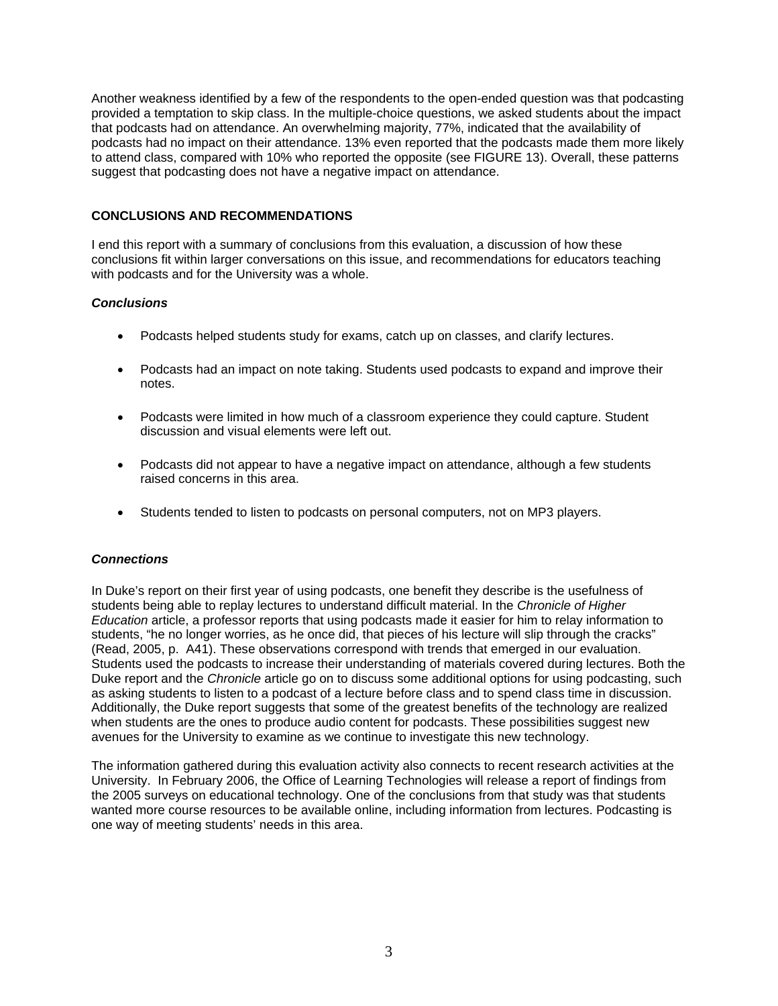Another weakness identified by a few of the respondents to the open-ended question was that podcasting provided a temptation to skip class. In the multiple-choice questions, we asked students about the impact that podcasts had on attendance. An overwhelming majority, 77%, indicated that the availability of podcasts had no impact on their attendance. 13% even reported that the podcasts made them more likely to attend class, compared with 10% who reported the opposite (see FIGURE 13). Overall, these patterns suggest that podcasting does not have a negative impact on attendance.

### **CONCLUSIONS AND RECOMMENDATIONS**

I end this report with a summary of conclusions from this evaluation, a discussion of how these conclusions fit within larger conversations on this issue, and recommendations for educators teaching with podcasts and for the University was a whole.

#### *Conclusions*

- Podcasts helped students study for exams, catch up on classes, and clarify lectures.
- Podcasts had an impact on note taking. Students used podcasts to expand and improve their notes.
- Podcasts were limited in how much of a classroom experience they could capture. Student discussion and visual elements were left out.
- Podcasts did not appear to have a negative impact on attendance, although a few students raised concerns in this area.
- Students tended to listen to podcasts on personal computers, not on MP3 players.

### *Connections*

In Duke's report on their first year of using podcasts, one benefit they describe is the usefulness of students being able to replay lectures to understand difficult material. In the *Chronicle of Higher Education* article, a professor reports that using podcasts made it easier for him to relay information to students, "he no longer worries, as he once did, that pieces of his lecture will slip through the cracks" (Read, 2005, p. A41). These observations correspond with trends that emerged in our evaluation. Students used the podcasts to increase their understanding of materials covered during lectures. Both the Duke report and the *Chronicle* article go on to discuss some additional options for using podcasting, such as asking students to listen to a podcast of a lecture before class and to spend class time in discussion. Additionally, the Duke report suggests that some of the greatest benefits of the technology are realized when students are the ones to produce audio content for podcasts. These possibilities suggest new avenues for the University to examine as we continue to investigate this new technology.

The information gathered during this evaluation activity also connects to recent research activities at the University. In February 2006, the Office of Learning Technologies will release a report of findings from the 2005 surveys on educational technology. One of the conclusions from that study was that students wanted more course resources to be available online, including information from lectures. Podcasting is one way of meeting students' needs in this area.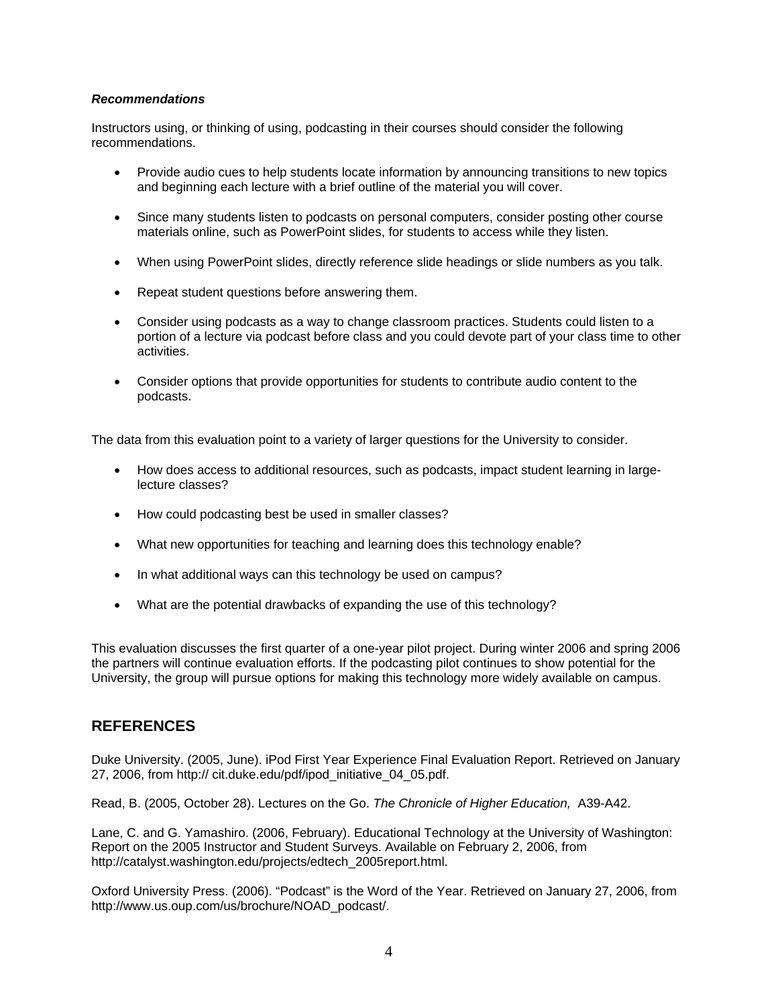#### *Recommendations*

Instructors using, or thinking of using, podcasting in their courses should consider the following recommendations.

- Provide audio cues to help students locate information by announcing transitions to new topics and beginning each lecture with a brief outline of the material you will cover.
- Since many students listen to podcasts on personal computers, consider posting other course materials online, such as PowerPoint slides, for students to access while they listen.
- When using PowerPoint slides, directly reference slide headings or slide numbers as you talk.
- Repeat student questions before answering them.
- Consider using podcasts as a way to change classroom practices. Students could listen to a portion of a lecture via podcast before class and you could devote part of your class time to other activities.
- Consider options that provide opportunities for students to contribute audio content to the podcasts.

The data from this evaluation point to a variety of larger questions for the University to consider.

- How does access to additional resources, such as podcasts, impact student learning in largelecture classes?
- How could podcasting best be used in smaller classes?
- What new opportunities for teaching and learning does this technology enable?
- In what additional ways can this technology be used on campus?
- What are the potential drawbacks of expanding the use of this technology?

This evaluation discusses the first quarter of a one-year pilot project. During winter 2006 and spring 2006 the partners will continue evaluation efforts. If the podcasting pilot continues to show potential for the University, the group will pursue options for making this technology more widely available on campus.

### **REFERENCES**

Duke University. (2005, June). iPod First Year Experience Final Evaluation Report. Retrieved on January 27, 2006, from http:// cit.duke.edu/pdf/ipod\_initiative\_04\_05.pdf.

Read, B. (2005, October 28). Lectures on the Go. *The Chronicle of Higher Education,* A39-A42.

Lane, C. and G. Yamashiro. (2006, February). Educational Technology at the University of Washington: Report on the 2005 Instructor and Student Surveys. Available on February 2, 2006, from http://catalyst.washington.edu/projects/edtech\_2005report.html.

Oxford University Press. (2006). "Podcast" is the Word of the Year. Retrieved on January 27, 2006, from http://www.us.oup.com/us/brochure/NOAD\_podcast/.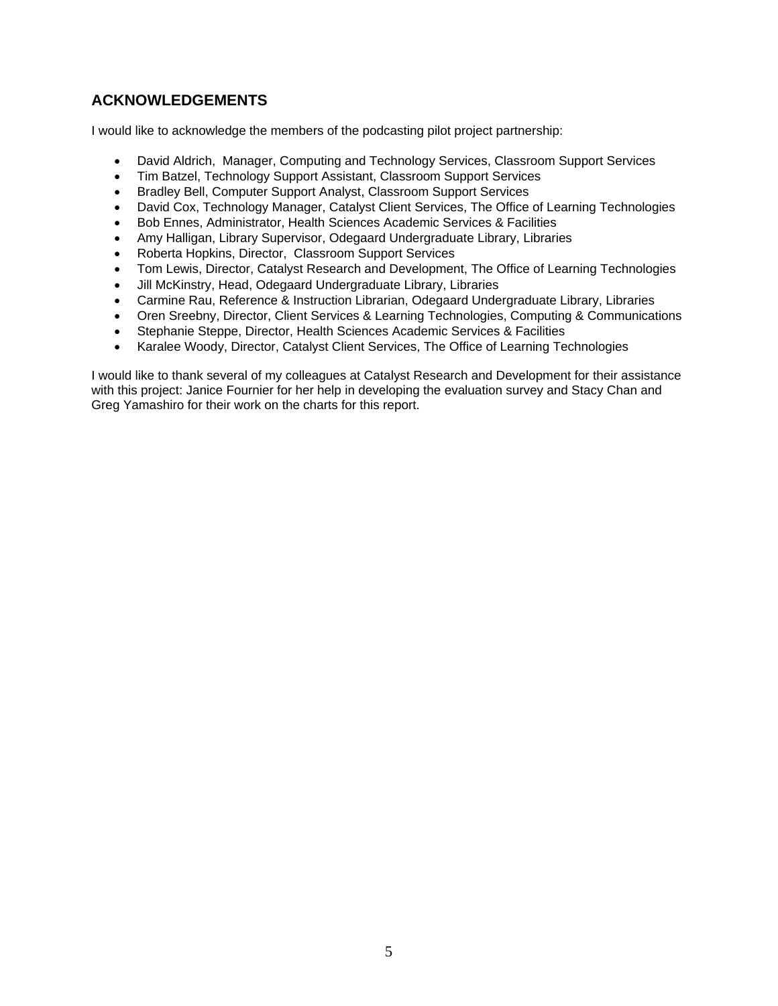### **ACKNOWLEDGEMENTS**

I would like to acknowledge the members of the podcasting pilot project partnership:

- David Aldrich, Manager, Computing and Technology Services, Classroom Support Services
- Tim Batzel, Technology Support Assistant, Classroom Support Services
- Bradley Bell, Computer Support Analyst, Classroom Support Services
- David Cox, Technology Manager, Catalyst Client Services, The Office of Learning Technologies
- Bob Ennes, Administrator, Health Sciences Academic Services & Facilities
- Amy Halligan, Library Supervisor, Odegaard Undergraduate Library, Libraries
- Roberta Hopkins, Director, Classroom Support Services
- Tom Lewis, Director, Catalyst Research and Development, The Office of Learning Technologies
- Jill McKinstry, Head, Odegaard Undergraduate Library, Libraries
- Carmine Rau, Reference & Instruction Librarian, Odegaard Undergraduate Library, Libraries
- Oren Sreebny, Director, Client Services & Learning Technologies, Computing & Communications
- Stephanie Steppe, Director, Health Sciences Academic Services & Facilities
- Karalee Woody, Director, Catalyst Client Services, The Office of Learning Technologies

I would like to thank several of my colleagues at Catalyst Research and Development for their assistance with this project: Janice Fournier for her help in developing the evaluation survey and Stacy Chan and Greg Yamashiro for their work on the charts for this report.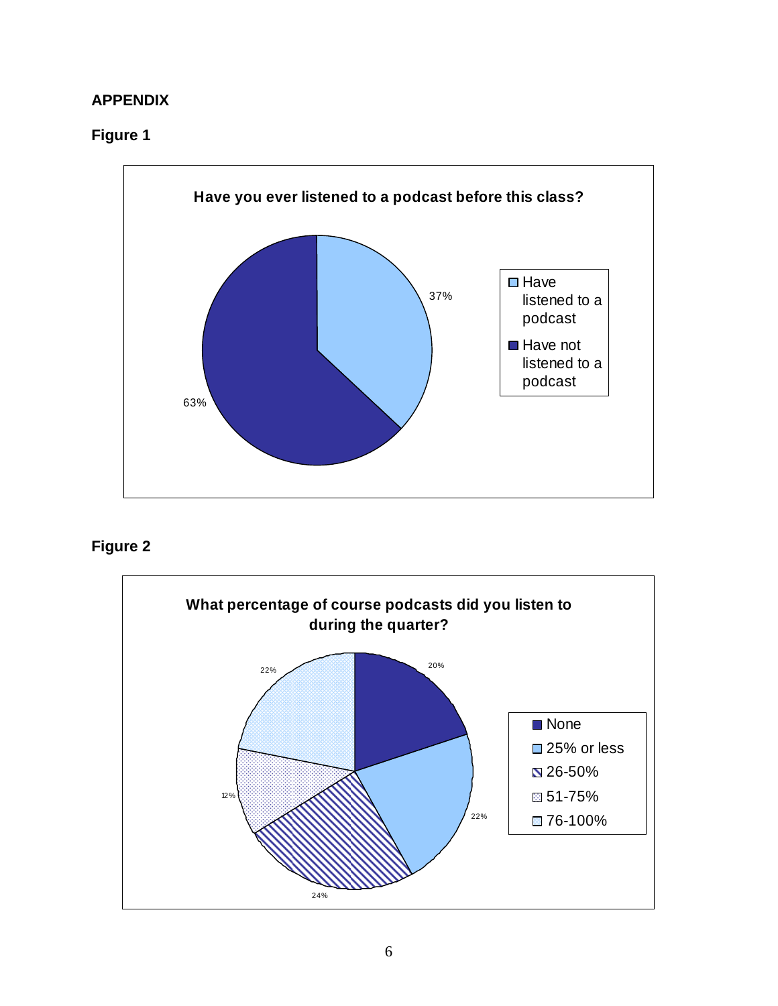### **APPENDIX**

### **Figure 1**



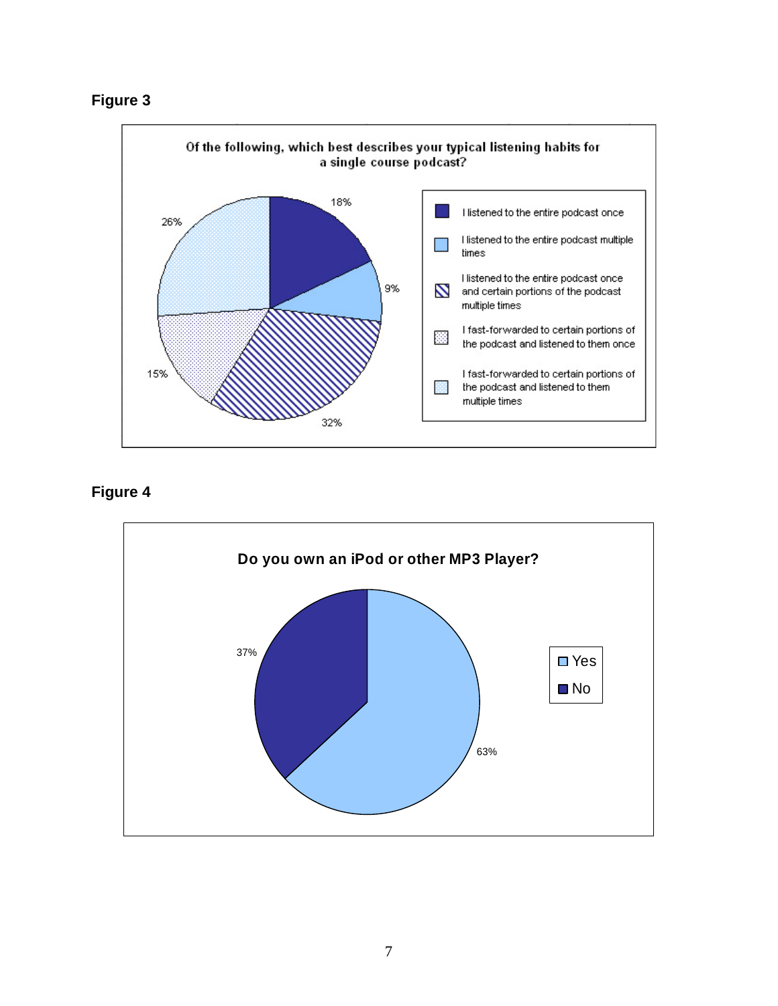



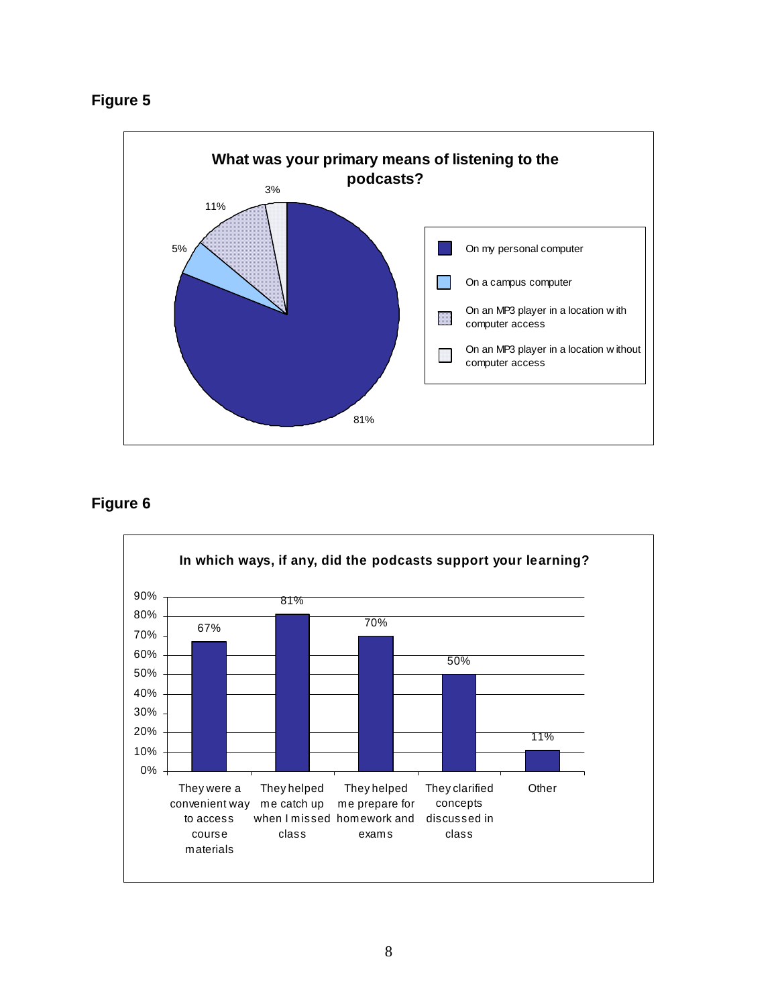



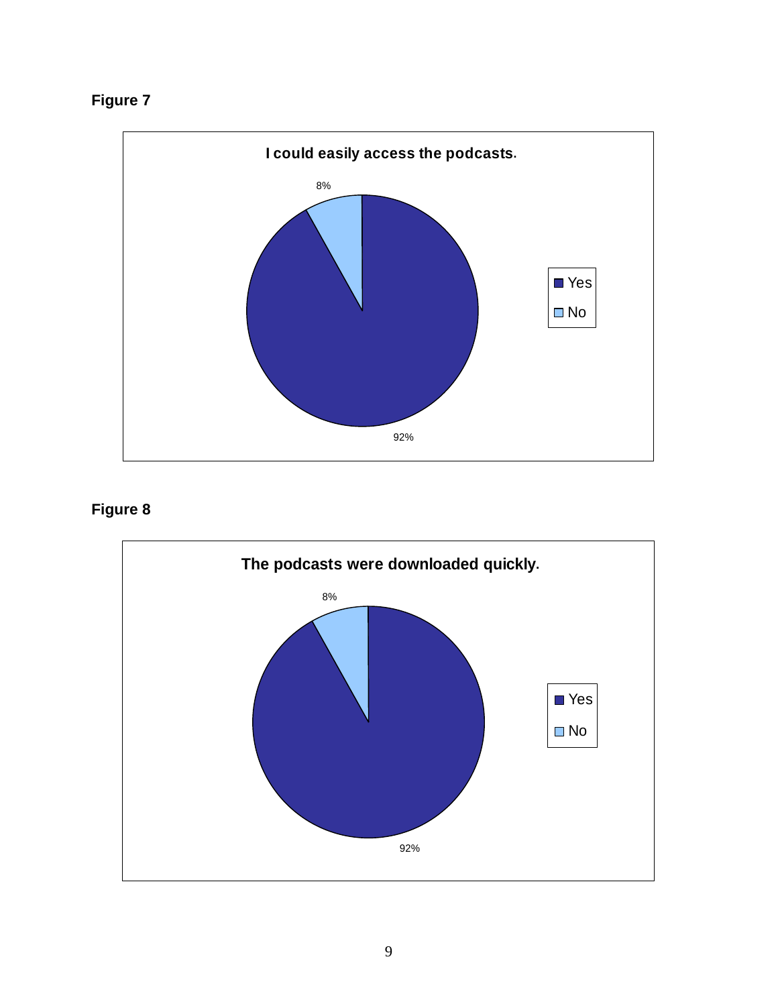



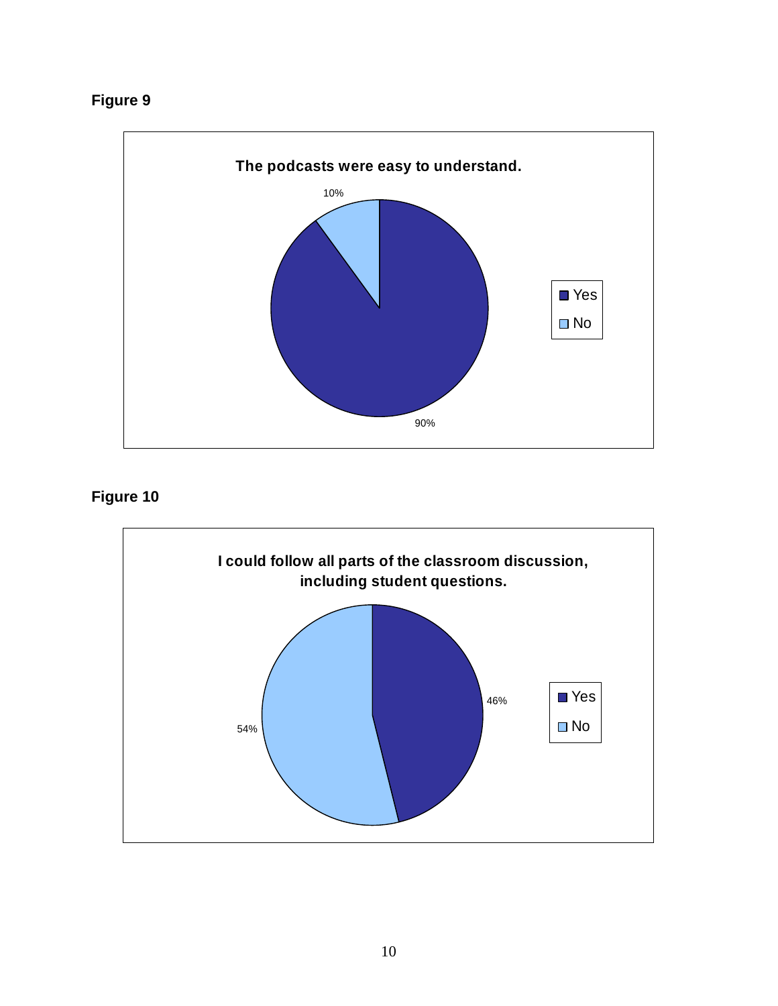

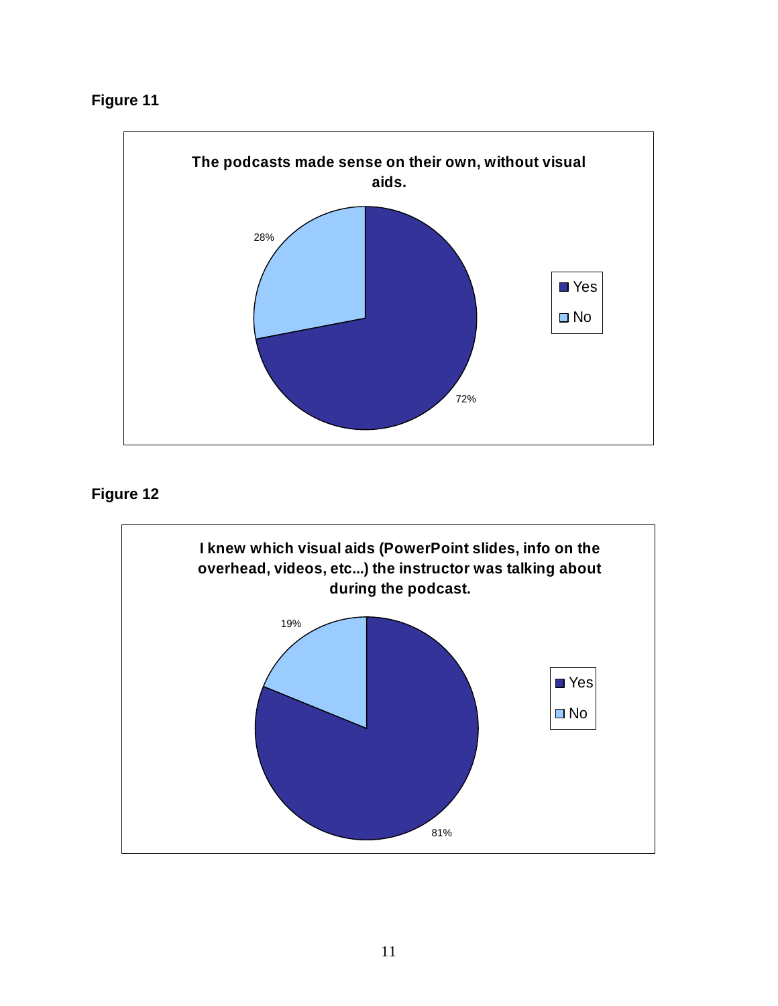